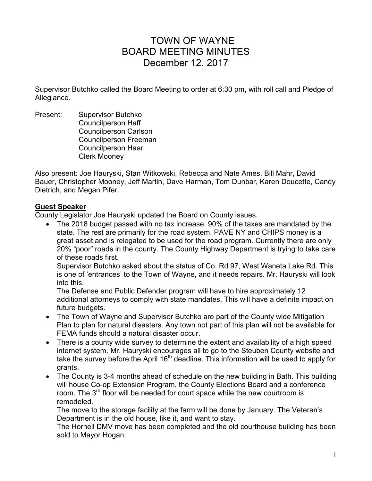# TOWN OF WAYNE BOARD MEETING MINUTES December 12, 2017

Supervisor Butchko called the Board Meeting to order at 6:30 pm, with roll call and Pledge of Allegiance.

Present: Supervisor Butchko Councilperson Haff Councilperson Carlson Councilperson Freeman Councilperson Haar Clerk Mooney

Also present: Joe Hauryski, Stan Witkowski, Rebecca and Nate Ames, Bill Mahr, David Bauer, Christopher Mooney, Jeff Martin, Dave Harman, Tom Dunbar, Karen Doucette, Candy Dietrich, and Megan Pifer.

## **Guest Speaker**

County Legislator Joe Hauryski updated the Board on County issues.

 The 2018 budget passed with no tax increase. 90% of the taxes are mandated by the state. The rest are primarily for the road system. PAVE NY and CHIPS money is a great asset and is relegated to be used for the road program. Currently there are only 20% "poor" roads in the county. The County Highway Department is trying to take care of these roads first.

Supervisor Butchko asked about the status of Co. Rd 97, West Waneta Lake Rd. This is one of 'entrances' to the Town of Wayne, and it needs repairs. Mr. Hauryski will look into this.

The Defense and Public Defender program will have to hire approximately 12 additional attorneys to comply with state mandates. This will have a definite impact on future budgets.

- The Town of Wayne and Supervisor Butchko are part of the County wide Mitigation Plan to plan for natural disasters. Any town not part of this plan will not be available for FEMA funds should a natural disaster occur.
- There is a county wide survey to determine the extent and availability of a high speed internet system. Mr. Hauryski encourages all to go to the Steuben County website and take the survey before the April  $16<sup>th</sup>$  deadline. This information will be used to apply for grants.
- The County is 3-4 months ahead of schedule on the new building in Bath. This building will house Co-op Extension Program, the County Elections Board and a conference room. The  $3<sup>rd</sup>$  floor will be needed for court space while the new courtroom is remodeled.

The move to the storage facility at the farm will be done by January. The Veteran's Department is in the old house, like it, and want to stay.

The Hornell DMV move has been completed and the old courthouse building has been sold to Mayor Hogan.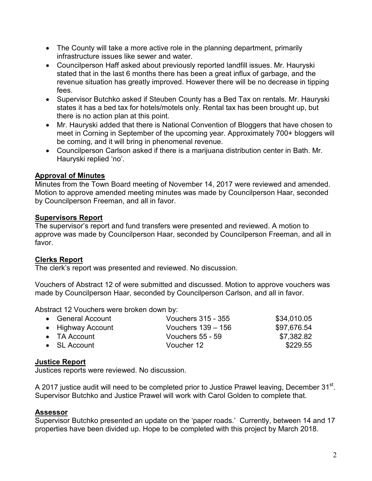- The County will take a more active role in the planning department, primarily infrastructure issues like sewer and water.
- Councilperson Haff asked about previously reported landfill issues. Mr. Hauryski stated that in the last 6 months there has been a great influx of garbage, and the revenue situation has greatly improved. However there will be no decrease in tipping fees.
- Supervisor Butchko asked if Steuben County has a Bed Tax on rentals. Mr. Hauryski states it has a bed tax for hotels/motels only. Rental tax has been brought up, but there is no action plan at this point.
- Mr. Hauryski added that there is National Convention of Bloggers that have chosen to meet in Corning in September of the upcoming year. Approximately 700+ bloggers will be coming, and it will bring in phenomenal revenue.
- Councilperson Carlson asked if there is a marijuana distribution center in Bath. Mr. Hauryski replied 'no'.

# **Approval of Minutes**

Minutes from the Town Board meeting of November 14, 2017 were reviewed and amended. Motion to approve amended meeting minutes was made by Councilperson Haar, seconded by Councilperson Freeman, and all in favor.

# **Supervisors Report**

The supervisor's report and fund transfers were presented and reviewed. A motion to approve was made by Councilperson Haar, seconded by Councilperson Freeman, and all in favor.

# **Clerks Report**

The clerk's report was presented and reviewed. No discussion.

Vouchers of Abstract 12 of were submitted and discussed. Motion to approve vouchers was made by Councilperson Haar, seconded by Councilperson Carlson, and all in favor.

Abstract 12 Vouchers were broken down by:

| • General Account    | <b>Vouchers 315 - 355</b> | \$34,010.05 |
|----------------------|---------------------------|-------------|
| • Highway Account    | Vouchers $139 - 156$      | \$97,676.54 |
| $\bullet$ TA Account | Vouchers 55 - 59          | \$7,382.82  |
| $\bullet$ SL Account | Voucher 12                | \$229.55    |
|                      |                           |             |

# **Justice Report**

Justices reports were reviewed. No discussion.

A 2017 justice audit will need to be completed prior to Justice Prawel leaving, December 31 $^{\rm st}$ . Supervisor Butchko and Justice Prawel will work with Carol Golden to complete that.

## **Assessor**

Supervisor Butchko presented an update on the 'paper roads.' Currently, between 14 and 17 properties have been divided up. Hope to be completed with this project by March 2018.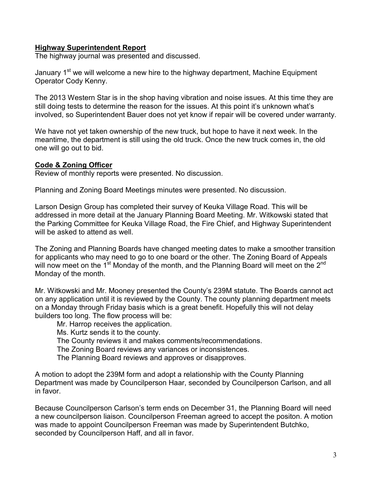## **Highway Superintendent Report**

The highway journal was presented and discussed.

January 1<sup>st</sup> we will welcome a new hire to the highway department, Machine Equipment Operator Cody Kenny.

The 2013 Western Star is in the shop having vibration and noise issues. At this time they are still doing tests to determine the reason for the issues. At this point it's unknown what's involved, so Superintendent Bauer does not yet know if repair will be covered under warranty.

We have not yet taken ownership of the new truck, but hope to have it next week. In the meantime, the department is still using the old truck. Once the new truck comes in, the old one will go out to bid.

## **Code & Zoning Officer**

Review of monthly reports were presented. No discussion.

Planning and Zoning Board Meetings minutes were presented. No discussion.

Larson Design Group has completed their survey of Keuka Village Road. This will be addressed in more detail at the January Planning Board Meeting. Mr. Witkowski stated that the Parking Committee for Keuka Village Road, the Fire Chief, and Highway Superintendent will be asked to attend as well.

The Zoning and Planning Boards have changed meeting dates to make a smoother transition for applicants who may need to go to one board or the other. The Zoning Board of Appeals will now meet on the 1<sup>st</sup> Monday of the month, and the Planning Board will meet on the 2<sup>nd</sup> Monday of the month.

Mr. Witkowski and Mr. Mooney presented the County's 239M statute. The Boards cannot act on any application until it is reviewed by the County. The county planning department meets on a Monday through Friday basis which is a great benefit. Hopefully this will not delay builders too long. The flow process will be:

Mr. Harrop receives the application.

Ms. Kurtz sends it to the county.

The County reviews it and makes comments/recommendations.

The Zoning Board reviews any variances or inconsistences.

The Planning Board reviews and approves or disapproves.

A motion to adopt the 239M form and adopt a relationship with the County Planning Department was made by Councilperson Haar, seconded by Councilperson Carlson, and all in favor.

Because Councilperson Carlson's term ends on December 31, the Planning Board will need a new councilperson liaison. Councilperson Freeman agreed to accept the positon. A motion was made to appoint Councilperson Freeman was made by Superintendent Butchko, seconded by Councilperson Haff, and all in favor.